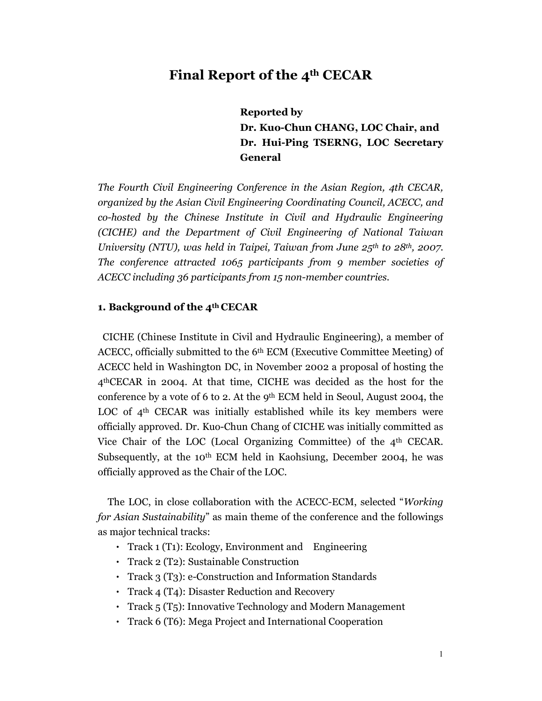## **Final Report of the 4th CECAR**

**Reported by Dr. Kuo-Chun CHANG, LOC Chair, and Dr. Hui-Ping TSERNG, LOC Secretary General** 

*The Fourth Civil Engineering Conference in the Asian Region, 4th CECAR, organized by the Asian Civil Engineering Coordinating Council, ACECC, and co-hosted by the Chinese Institute in Civil and Hydraulic Engineering (CICHE) and the Department of Civil Engineering of National Taiwan University (NTU), was held in Taipei, Taiwan from June 25th to 28th, 2007. The conference attracted 1065 participants from 9 member societies of ACECC including 36 participants from 15 non-member countries.* 

#### **1. Background of the 4th CECAR**

CICHE (Chinese Institute in Civil and Hydraulic Engineering), a member of ACECC, officially submitted to the 6th ECM (Executive Committee Meeting) of ACECC held in Washington DC, in November 2002 a proposal of hosting the 4thCECAR in 2004. At that time, CICHE was decided as the host for the conference by a vote of 6 to 2. At the  $9<sup>th</sup>$  ECM held in Seoul, August 2004, the LOC of  $4<sup>th</sup>$  CECAR was initially established while its key members were officially approved. Dr. Kuo-Chun Chang of CICHE was initially committed as Vice Chair of the LOC (Local Organizing Committee) of the 4th CECAR. Subsequently, at the 10<sup>th</sup> ECM held in Kaohsiung, December 2004, he was officially approved as the Chair of the LOC.

The LOC, in close collaboration with the ACECC-ECM, selected "*Working for Asian Sustainability*" as main theme of the conference and the followings as major technical tracks:

- Track 1 (T1): Ecology, Environment and Engineering
- Track 2 (T2): Sustainable Construction
- Track 3 (T3): e-Construction and Information Standards
- Track 4 (T4): Disaster Reduction and Recovery
- Track 5 (T5): Innovative Technology and Modern Management
- Track 6 (T6): Mega Project and International Cooperation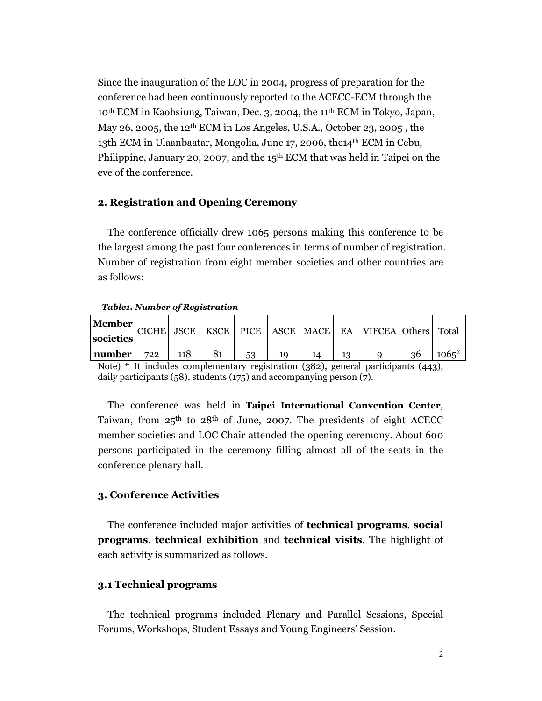Since the inauguration of the LOC in 2004, progress of preparation for the conference had been continuously reported to the ACECC-ECM through the 10th ECM in Kaohsiung, Taiwan, Dec. 3, 2004, the 11th ECM in Tokyo, Japan, May 26, 2005, the 12th ECM in Los Angeles, U.S.A., October 23, 2005 , the 13th ECM in Ulaanbaatar, Mongolia, June 17, 2006, the14th ECM in Cebu, Philippine, January 20, 2007, and the 15<sup>th</sup> ECM that was held in Taipei on the eve of the conference.

#### **2. Registration and Opening Ceremony**

The conference officially drew 1065 persons making this conference to be the largest among the past four conferences in terms of number of registration. Number of registration from eight member societies and other countries are as follows:

| <b>Member</b><br>societies | <b>CICHE</b> |     |    |    |  | JSCE   KSCE   PICE   ASCE   MACE   EA   VIFCEA   Others   Total |    |         |
|----------------------------|--------------|-----|----|----|--|-----------------------------------------------------------------|----|---------|
| number                     | 722          | 118 | 81 | 53 |  |                                                                 | 36 | $1065*$ |

#### *Table1. Number of Registration*

Note) \* It includes complementary registration (382), general participants (443), daily participants (58), students (175) and accompanying person (7).

The conference was held in **Taipei International Convention Center**, Taiwan, from  $25<sup>th</sup>$  to  $28<sup>th</sup>$  of June, 2007. The presidents of eight ACECC member societies and LOC Chair attended the opening ceremony. About 600 persons participated in the ceremony filling almost all of the seats in the conference plenary hall.

#### **3. Conference Activities**

The conference included major activities of **technical programs**, **social programs**, **technical exhibition** and **technical visits**. The highlight of each activity is summarized as follows.

#### **3.1 Technical programs**

The technical programs included Plenary and Parallel Sessions, Special Forums, Workshops, Student Essays and Young Engineers' Session.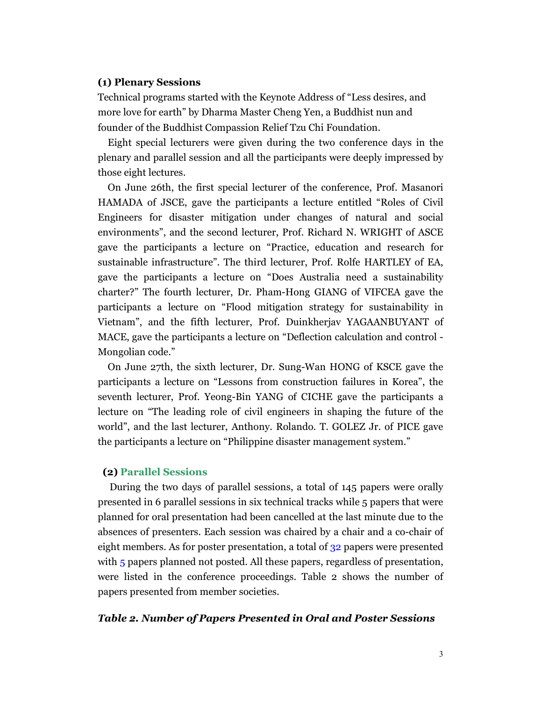#### **(1) Plenary Sessions**

Technical programs started with the Keynote Address of "Less desires, and more love for earth" by Dharma Master Cheng Yen, a Buddhist nun and founder of the Buddhist Compassion Relief Tzu Chi Foundation.

Eight special lecturers were given during the two conference days in the plenary and parallel session and all the participants were deeply impressed by those eight lectures.

On June 26th, the first special lecturer of the conference, Prof. Masanori HAMADA of JSCE, gave the participants a lecture entitled "Roles of Civil Engineers for disaster mitigation under changes of natural and social environments", and the second lecturer, Prof. Richard N. WRIGHT of ASCE gave the participants a lecture on "Practice, education and research for sustainable infrastructure". The third lecturer, Prof. Rolfe HARTLEY of EA, gave the participants a lecture on "Does Australia need a sustainability charter?" The fourth lecturer, Dr. Pham-Hong GIANG of VIFCEA gave the participants a lecture on "Flood mitigation strategy for sustainability in Vietnam", and the fifth lecturer, Prof. Duinkherjav YAGAANBUYANT of MACE, gave the participants a lecture on "Deflection calculation and control - Mongolian code."

On June 27th, the sixth lecturer, Dr. Sung-Wan HONG of KSCE gave the participants a lecture on "Lessons from construction failures in Korea", the seventh lecturer, Prof. Yeong-Bin YANG of CICHE gave the participants a lecture on "The leading role of civil engineers in shaping the future of the world", and the last lecturer, Anthony. Rolando. T. GOLEZ Jr. of PICE gave the participants a lecture on "Philippine disaster management system."

#### **(2) Parallel Sessions**

During the two days of parallel sessions, a total of 145 papers were orally presented in 6 parallel sessions in six technical tracks while 5 papers that were planned for oral presentation had been cancelled at the last minute due to the absences of presenters. Each session was chaired by a chair and a co-chair of eight members. As for poster presentation, a total of 32 papers were presented with 5 papers planned not posted. All these papers, regardless of presentation, were listed in the conference proceedings. Table 2 shows the number of papers presented from member societies.

#### *Table 2. Number of Papers Presented in Oral and Poster Sessions*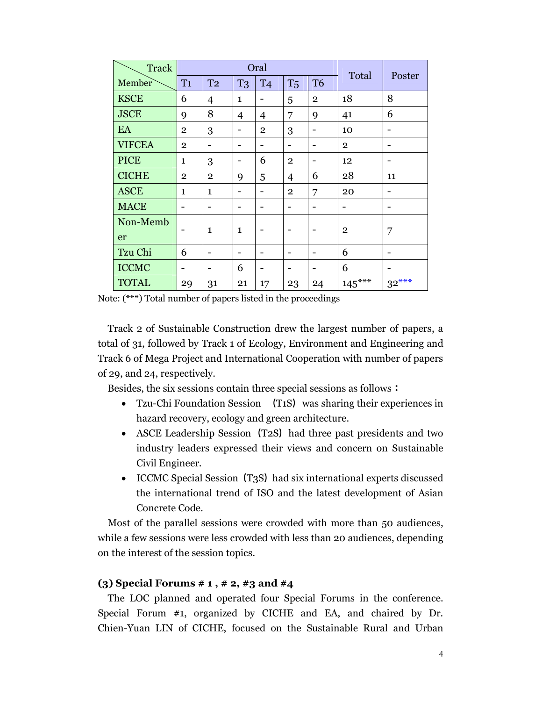| <b>Track</b>  | Oral           |                          |                |                |                | Total          | Poster         |         |
|---------------|----------------|--------------------------|----------------|----------------|----------------|----------------|----------------|---------|
| Member        | T <sub>1</sub> | T <sub>2</sub>           | T <sub>3</sub> | <b>T4</b>      | T <sub>5</sub> | T <sub>6</sub> |                |         |
| <b>KSCE</b>   | 6              | $\overline{4}$           | $\mathbf{1}$   |                | 5              | $\mathbf{2}$   | 18             | 8       |
| <b>JSCE</b>   | 9              | 8                        | $\overline{4}$ | 4              | 7              | 9              | 41             | 6       |
| EA            | $\overline{2}$ | 3                        |                | $\overline{2}$ | 3              |                | 10             |         |
| <b>VIFCEA</b> | $\overline{2}$ |                          |                |                | -              |                | $\overline{2}$ |         |
| <b>PICE</b>   | $\mathbf{1}$   | 3                        | -              | 6              | $\overline{2}$ |                | 12             |         |
| <b>CICHE</b>  | $\overline{2}$ | $\overline{2}$           | 9              | 5              | $\overline{4}$ | 6              | 28             | 11      |
| <b>ASCE</b>   | $\mathbf{1}$   | $\mathbf{1}$             | -              |                | $\mathbf{2}$   | 7              | 20             |         |
| <b>MACE</b>   | -              | -                        |                |                | -              |                |                |         |
| Non-Memb      |                | $\mathbf{1}$             | $\mathbf{1}$   |                | -              |                | $\mathbf{2}$   |         |
| er            |                |                          |                |                |                |                |                | 7       |
| Tzu Chi       | 6              | $\overline{\phantom{0}}$ | -              |                |                |                | 6              |         |
| <b>ICCMC</b>  | -              |                          | 6              |                |                |                | 6              |         |
| <b>TOTAL</b>  | 29             | 31                       | 21             | 17             | 23             | 24             | $145***$       | $32***$ |

Note: (\*\*\*) Total number of papers listed in the proceedings

Track 2 of Sustainable Construction drew the largest number of papers, a total of 31, followed by Track 1 of Ecology, Environment and Engineering and Track 6 of Mega Project and International Cooperation with number of papers of 29, and 24, respectively.

Besides, the six sessions contain three special sessions as follows:

- Tzu-Chi Foundation Session (T1S) was sharing their experiences in hazard recovery, ecology and green architecture.
- ASCE Leadership Session (T2S) had three past presidents and two industry leaders expressed their views and concern on Sustainable Civil Engineer.
- ICCMC Special Session (T3S) had six international experts discussed the international trend of ISO and the latest development of Asian Concrete Code.

Most of the parallel sessions were crowded with more than 50 audiences, while a few sessions were less crowded with less than 20 audiences, depending on the interest of the session topics.

#### **(3) Special Forums # 1 , # 2, #3 and #4**

The LOC planned and operated four Special Forums in the conference. Special Forum #1, organized by CICHE and EA, and chaired by Dr. Chien-Yuan LIN of CICHE, focused on the Sustainable Rural and Urban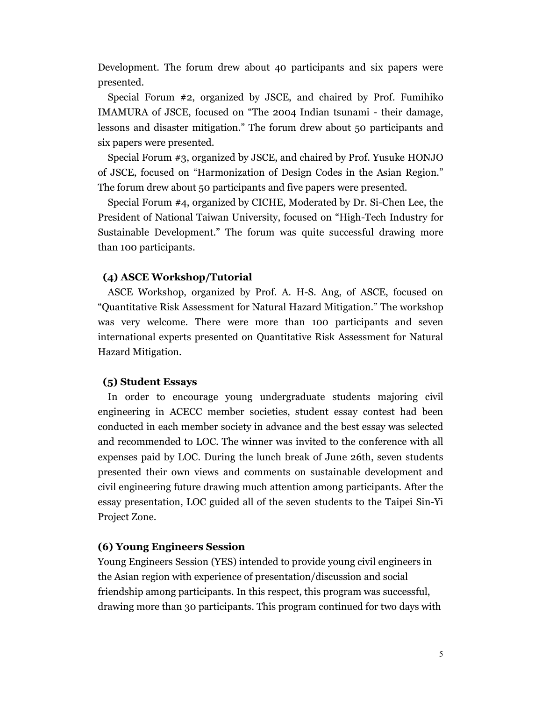Development. The forum drew about 40 participants and six papers were presented.

Special Forum #2, organized by JSCE, and chaired by Prof. Fumihiko IMAMURA of JSCE, focused on "The 2004 Indian tsunami - their damage, lessons and disaster mitigation." The forum drew about 50 participants and six papers were presented.

Special Forum #3, organized by JSCE, and chaired by Prof. Yusuke HONJO of JSCE, focused on "Harmonization of Design Codes in the Asian Region." The forum drew about 50 participants and five papers were presented.

Special Forum #4, organized by CICHE, Moderated by Dr. Si-Chen Lee, the President of National Taiwan University, focused on "High-Tech Industry for Sustainable Development." The forum was quite successful drawing more than 100 participants.

#### **(4) ASCE Workshop/Tutorial**

ASCE Workshop, organized by Prof. A. H-S. Ang, of ASCE, focused on "Quantitative Risk Assessment for Natural Hazard Mitigation." The workshop was very welcome. There were more than 100 participants and seven international experts presented on Quantitative Risk Assessment for Natural Hazard Mitigation.

#### **(5) Student Essays**

In order to encourage young undergraduate students majoring civil engineering in ACECC member societies, student essay contest had been conducted in each member society in advance and the best essay was selected and recommended to LOC. The winner was invited to the conference with all expenses paid by LOC. During the lunch break of June 26th, seven students presented their own views and comments on sustainable development and civil engineering future drawing much attention among participants. After the essay presentation, LOC guided all of the seven students to the Taipei Sin-Yi Project Zone.

#### **(6) Young Engineers Session**

Young Engineers Session (YES) intended to provide young civil engineers in the Asian region with experience of presentation/discussion and social friendship among participants. In this respect, this program was successful, drawing more than 30 participants. This program continued for two days with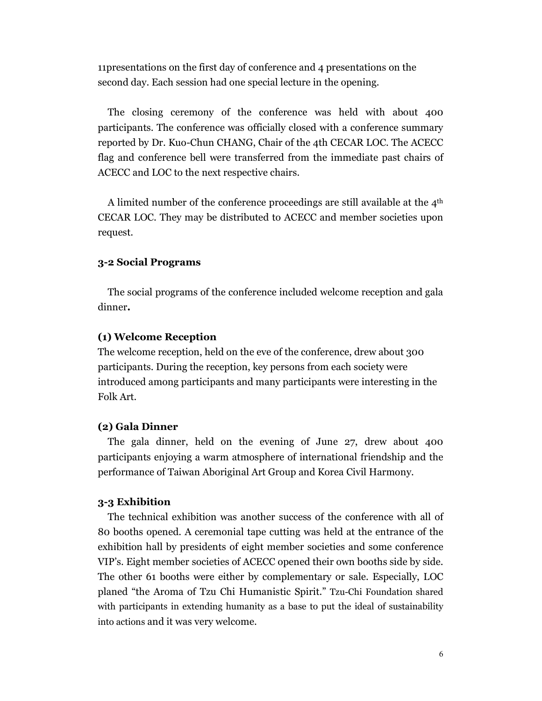11presentations on the first day of conference and 4 presentations on the second day. Each session had one special lecture in the opening.

The closing ceremony of the conference was held with about 400 participants. The conference was officially closed with a conference summary reported by Dr. Kuo-Chun CHANG, Chair of the 4th CECAR LOC. The ACECC flag and conference bell were transferred from the immediate past chairs of ACECC and LOC to the next respective chairs.

A limited number of the conference proceedings are still available at the  $4<sup>th</sup>$ CECAR LOC. They may be distributed to ACECC and member societies upon request.

#### **3-2 Social Programs**

The social programs of the conference included welcome reception and gala dinner**.** 

#### **(1) Welcome Reception**

The welcome reception, held on the eve of the conference, drew about 300 participants. During the reception, key persons from each society were introduced among participants and many participants were interesting in the Folk Art.

#### **(2) Gala Dinner**

The gala dinner, held on the evening of June 27, drew about 400 participants enjoying a warm atmosphere of international friendship and the performance of Taiwan Aboriginal Art Group and Korea Civil Harmony.

#### **3-3 Exhibition**

The technical exhibition was another success of the conference with all of 80 booths opened. A ceremonial tape cutting was held at the entrance of the exhibition hall by presidents of eight member societies and some conference VIP's. Eight member societies of ACECC opened their own booths side by side. The other 61 booths were either by complementary or sale. Especially, LOC planed "the Aroma of Tzu Chi Humanistic Spirit." Tzu-Chi Foundation shared with participants in extending humanity as a base to put the ideal of sustainability into actions and it was very welcome.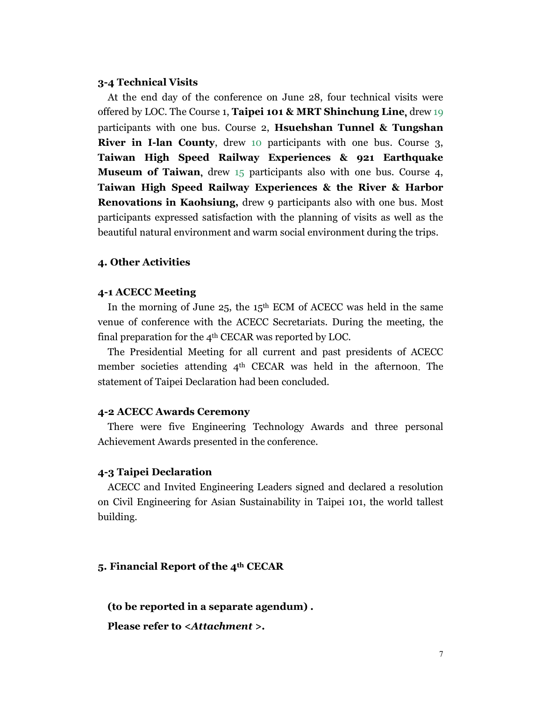#### **3-4 Technical Visits**

At the end day of the conference on June 28, four technical visits were offered by LOC. The Course 1, **Taipei 101 & MRT Shinchung Line**, drew 19 participants with one bus. Course 2, **Hsuehshan Tunnel & Tungshan River in I-lan County**, drew 10 participants with one bus. Course 3, **Taiwan High Speed Railway Experiences & 921 Earthquake Museum of Taiwan**, drew 15 participants also with one bus. Course 4, **Taiwan High Speed Railway Experiences & the River & Harbor Renovations in Kaohsiung,** drew 9 participants also with one bus. Most participants expressed satisfaction with the planning of visits as well as the beautiful natural environment and warm social environment during the trips.

#### **4. Other Activities**

#### **4-1 ACECC Meeting**

In the morning of June  $25$ , the 15<sup>th</sup> ECM of ACECC was held in the same venue of conference with the ACECC Secretariats. During the meeting, the final preparation for the 4th CECAR was reported by LOC.

The Presidential Meeting for all current and past presidents of ACECC member societies attending  $4<sup>th</sup>$  CECAR was held in the afternoon. The statement of Taipei Declaration had been concluded.

#### **4-2 ACECC Awards Ceremony**

There were five Engineering Technology Awards and three personal Achievement Awards presented in the conference.

#### **4-3 Taipei Declaration**

ACECC and Invited Engineering Leaders signed and declared a resolution on Civil Engineering for Asian Sustainability in Taipei 101, the world tallest building.

#### **5. Financial Report of the 4th CECAR**

**(to be reported in a separate agendum) .** 

**Please refer to** *<Attachment >.*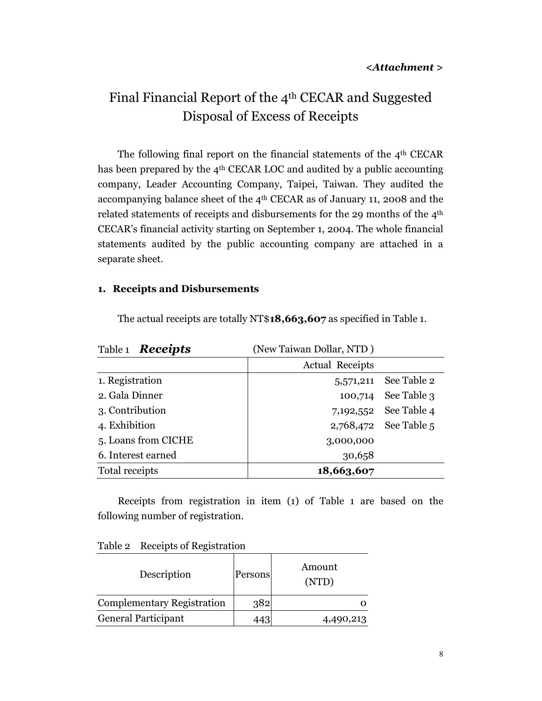# Final Financial Report of the 4th CECAR and Suggested Disposal of Excess of Receipts

The following final report on the financial statements of the 4th CECAR has been prepared by the  $4<sup>th</sup> CECAR LOC$  and audited by a public accounting company, Leader Accounting Company, Taipei, Taiwan. They audited the accompanying balance sheet of the 4th CECAR as of January 11, 2008 and the related statements of receipts and disbursements for the 29 months of the 4th CECAR's financial activity starting on September 1, 2004. The whole financial statements audited by the public accounting company are attached in a separate sheet.

#### **1. Receipts and Disbursements**

| Table 1 <b>Receipts</b> | (New Taiwan Dollar, NTD) |                       |
|-------------------------|--------------------------|-----------------------|
|                         | <b>Actual Receipts</b>   |                       |
| 1. Registration         | 5,571,211                | See Table 2           |
| 2. Gala Dinner          | 100,714                  | See Table 3           |
| 3. Contribution         |                          | 7,192,552 See Table 4 |
| 4. Exhibition           |                          | 2,768,472 See Table 5 |
| 5. Loans from CICHE     | 3,000,000                |                       |
| 6. Interest earned      | 30,658                   |                       |
| Total receipts          | 18,663,607               |                       |

The actual receipts are totally NT\$**18,663,607** as specified in Table 1.

Receipts from registration in item (1) of Table 1 are based on the following number of registration.

| Description                       | Persons | Amount<br>(NTD) |  |
|-----------------------------------|---------|-----------------|--|
| <b>Complementary Registration</b> | 382     |                 |  |
| General Participant               |         | 4,490,213       |  |

Table 2 Receipts of Registration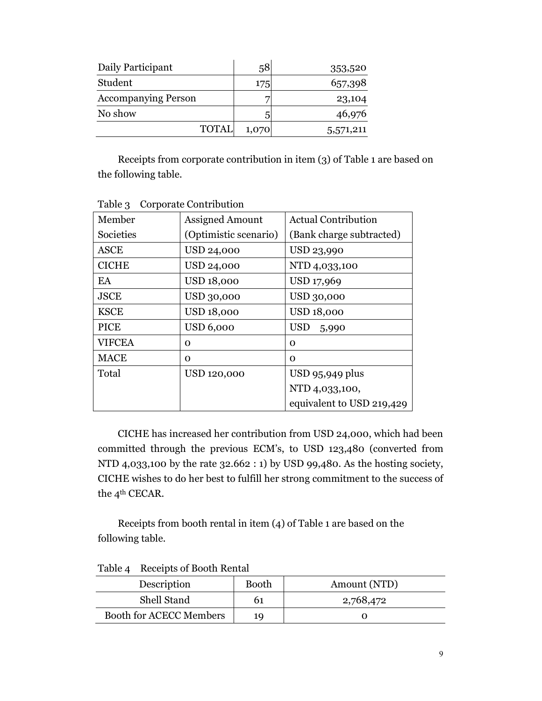| Daily Participant          | 58    | 353,520   |
|----------------------------|-------|-----------|
| Student                    | 175   | 657,398   |
| <b>Accompanying Person</b> |       | 23,104    |
| No show                    |       | 46,976    |
| <b>TOTAL</b>               | 1,070 | 5,571,211 |

Receipts from corporate contribution in item (3) of Table 1 are based on the following table.

| Member        | <b>Assigned Amount</b> | <b>Actual Contribution</b> |
|---------------|------------------------|----------------------------|
| Societies     | (Optimistic scenario)  | (Bank charge subtracted)   |
| <b>ASCE</b>   | USD 24,000             | USD 23,990                 |
| <b>CICHE</b>  | USD 24,000             | NTD 4,033,100              |
| EA            | <b>USD 18,000</b>      | USD 17,969                 |
| <b>JSCE</b>   | USD 30,000             | USD 30,000                 |
| <b>KSCE</b>   | <b>USD 18,000</b>      | <b>USD 18,000</b>          |
| <b>PICE</b>   | <b>USD 6,000</b>       | <b>USD</b><br>5,990        |
| <b>VIFCEA</b> | 0                      | Ω                          |
| <b>MACE</b>   | 0                      | O                          |
| Total         | USD 120,000            | USD 95,949 plus            |
|               |                        | NTD 4,033,100,             |
|               |                        | equivalent to USD 219,429  |

Table 3 Corporate Contribution

CICHE has increased her contribution from USD 24,000, which had been committed through the previous ECM's, to USD 123,480 (converted from NTD 4,033,100 by the rate 32.662 : 1) by USD 99,480. As the hosting society, CICHE wishes to do her best to fulfill her strong commitment to the success of the 4<sup>th</sup> CECAR.

Receipts from booth rental in item (4) of Table 1 are based on the following table.

| Description                    | <b>Booth</b> | Amount (NTD) |
|--------------------------------|--------------|--------------|
| Shell Stand                    |              | 2,768,472    |
| <b>Booth for ACECC Members</b> | 19           |              |

Table 4 Receipts of Booth Rental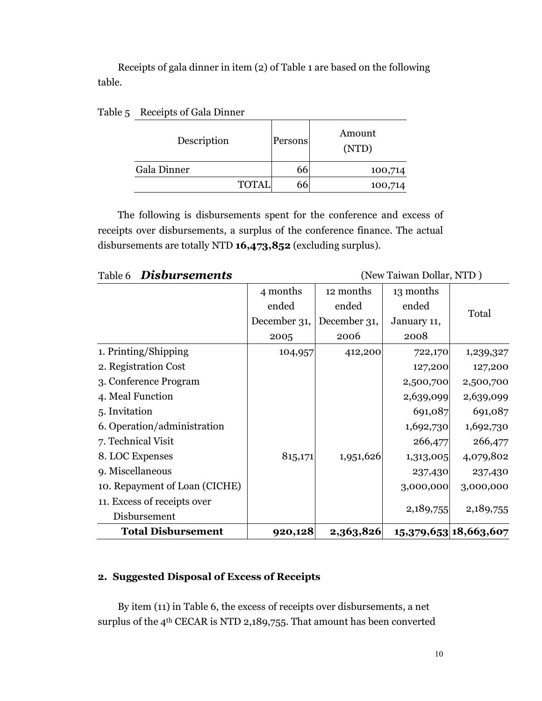Receipts of gala dinner in item (2) of Table 1 are based on the following table.

| Description |              | Persons | Amount<br>(NTD) |
|-------------|--------------|---------|-----------------|
| Gala Dinner |              | 66      | 100,714         |
|             | <b>TOTAL</b> | 66      | 100,714         |

#### Table 5 Receipts of Gala Dinner

The following is disbursements spent for the conference and excess of receipts over disbursements, a surplus of the conference finance. The actual disbursements are totally NTD **16,473,852** (excluding surplus).

Table 6 **Disbursements** (New Taiwan Dollar, NTD)

|              |              |                    | 15,379,653 18,663,607                                                                                                                          |
|--------------|--------------|--------------------|------------------------------------------------------------------------------------------------------------------------------------------------|
|              |              |                    | 2,189,755                                                                                                                                      |
|              |              |                    |                                                                                                                                                |
|              |              |                    | 3,000,000                                                                                                                                      |
|              |              |                    | 237,430                                                                                                                                        |
|              | 1,951,626    |                    | 4,079,802                                                                                                                                      |
|              |              |                    | 266,477                                                                                                                                        |
|              |              |                    | 1,692,730                                                                                                                                      |
|              |              |                    | 691,087                                                                                                                                        |
|              |              |                    | 2,639,099                                                                                                                                      |
|              |              |                    | 2,500,700                                                                                                                                      |
|              |              |                    | 127,200                                                                                                                                        |
| 104,957      | 412,200      |                    | 1,239,327                                                                                                                                      |
| 2005         | 2006         | 2008               |                                                                                                                                                |
| December 31, | December 31, | January 11,        |                                                                                                                                                |
| ended        | ended        | ended              | Total                                                                                                                                          |
| 4 months     | 12 months    | 13 months          |                                                                                                                                                |
|              |              | 815,171<br>920,128 | 722,170<br>127,200<br>2,500,700<br>2,639,099<br>691,087<br>1,692,730<br>266,477<br>1,313,005<br>237,430<br>3,000,000<br>2,189,755<br>2,363,826 |

### **2. Suggested Disposal of Excess of Receipts**

By item (11) in Table 6, the excess of receipts over disbursements, a net surplus of the 4<sup>th</sup> CECAR is NTD 2,189,755. That amount has been converted